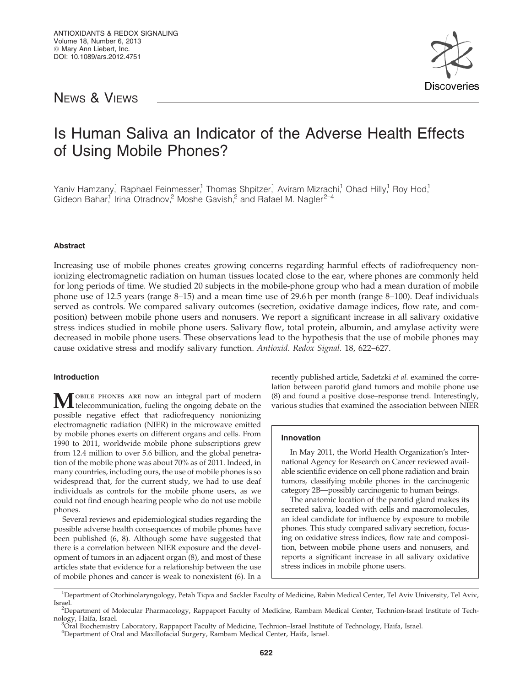# NEWS & VIEWS



# Is Human Saliva an Indicator of the Adverse Health Effects of Using Mobile Phones?

Yaniv Hamzany,<sup>1</sup> Raphael Feinmesser,<sup>1</sup> Thomas Shpitzer,<sup>1</sup> Aviram Mizrachi,<sup>1</sup> Ohad Hilly,<sup>1</sup> Roy Hod,<sup>1</sup> Gideon Bahar,<sup>1</sup> Irina Otradnov,<sup>2</sup> Moshe Gavish,<sup>2</sup> and Rafael M. Nagler<sup>2-4</sup>

# Abstract

Increasing use of mobile phones creates growing concerns regarding harmful effects of radiofrequency nonionizing electromagnetic radiation on human tissues located close to the ear, where phones are commonly held for long periods of time. We studied 20 subjects in the mobile-phone group who had a mean duration of mobile phone use of 12.5 years (range 8–15) and a mean time use of 29.6 h per month (range 8–100). Deaf individuals served as controls. We compared salivary outcomes (secretion, oxidative damage indices, flow rate, and composition) between mobile phone users and nonusers. We report a significant increase in all salivary oxidative stress indices studied in mobile phone users. Salivary flow, total protein, albumin, and amylase activity were decreased in mobile phone users. These observations lead to the hypothesis that the use of mobile phones may cause oxidative stress and modify salivary function. Antioxid. Redox Signal. 18, 622–627.

# Introduction

**MOBILE PHONES ARE NOW an integral part of modern**<br>telecommunication, fueling the ongoing debate on the possible negative effect that radiofrequency nonionizing electromagnetic radiation (NIER) in the microwave emitted by mobile phones exerts on different organs and cells. From 1990 to 2011, worldwide mobile phone subscriptions grew from 12.4 million to over 5.6 billion, and the global penetration of the mobile phone was about 70% as of 2011. Indeed, in many countries, including ours, the use of mobile phones is so widespread that, for the current study, we had to use deaf individuals as controls for the mobile phone users, as we could not find enough hearing people who do not use mobile phones.

Several reviews and epidemiological studies regarding the possible adverse health consequences of mobile phones have been published (6, 8). Although some have suggested that there is a correlation between NIER exposure and the development of tumors in an adjacent organ (8), and most of these articles state that evidence for a relationship between the use of mobile phones and cancer is weak to nonexistent (6). In a recently published article, Sadetzki et al. examined the correlation between parotid gland tumors and mobile phone use (8) and found a positive dose–response trend. Interestingly, various studies that examined the association between NIER

# Innovation

In May 2011, the World Health Organization's International Agency for Research on Cancer reviewed available scientific evidence on cell phone radiation and brain tumors, classifying mobile phones in the carcinogenic category 2B—possibly carcinogenic to human beings.

The anatomic location of the parotid gland makes its secreted saliva, loaded with cells and macromolecules, an ideal candidate for influence by exposure to mobile phones. This study compared salivary secretion, focusing on oxidative stress indices, flow rate and composition, between mobile phone users and nonusers, and reports a significant increase in all salivary oxidative stress indices in mobile phone users.

<sup>&</sup>lt;sup>1</sup>Department of Otorhinolaryngology, Petah Tiqva and Sackler Faculty of Medicine, Rabin Medical Center, Tel Aviv University, Tel Aviv, Israel. <sup>2</sup>

<sup>&</sup>lt;sup>2</sup>Department of Molecular Pharmacology, Rappaport Faculty of Medicine, Rambam Medical Center, Technion-Israel Institute of Technology, Haifa, Israel.

Oral Biochemistry Laboratory, Rappaport Faculty of Medicine, Technion–Israel Institute of Technology, Haifa, Israel.

<sup>4</sup> Department of Oral and Maxillofacial Surgery, Rambam Medical Center, Haifa, Israel.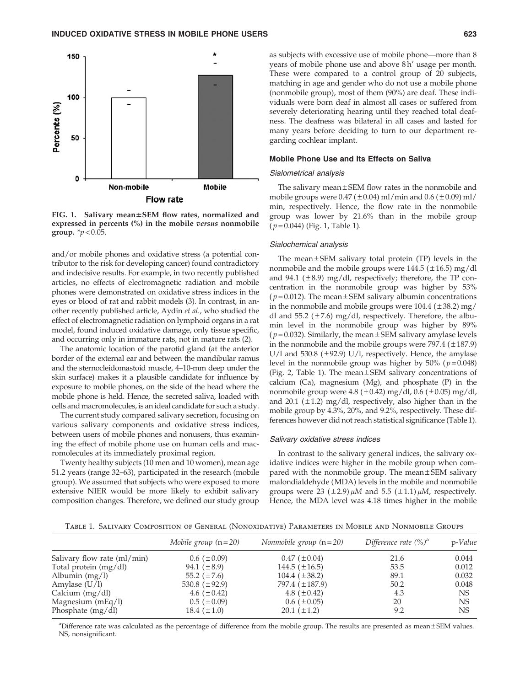

FIG. 1. Salivary mean±SEM flow rates, normalized and expressed in percents (%) in the mobile versus nonmobile group.  $* p < 0.05$ .

and/or mobile phones and oxidative stress (a potential contributor to the risk for developing cancer) found contradictory and indecisive results. For example, in two recently published articles, no effects of electromagnetic radiation and mobile phones were demonstrated on oxidative stress indices in the eyes or blood of rat and rabbit models (3). In contrast, in another recently published article, Aydin et al., who studied the effect of electromagnetic radiation on lymphoid organs in a rat model, found induced oxidative damage, only tissue specific, and occurring only in immature rats, not in mature rats (2).

The anatomic location of the parotid gland (at the anterior border of the external ear and between the mandibular ramus and the sternocleidomastoid muscle, 4–10-mm deep under the skin surface) makes it a plausible candidate for influence by exposure to mobile phones, on the side of the head where the mobile phone is held. Hence, the secreted saliva, loaded with cells and macromolecules, is an ideal candidate for such a study.

The current study compared salivary secretion, focusing on various salivary components and oxidative stress indices, between users of mobile phones and nonusers, thus examining the effect of mobile phone use on human cells and macromolecules at its immediately proximal region.

Twenty healthy subjects (10 men and 10 women), mean age 51.2 years (range 32–63), participated in the research (mobile group). We assumed that subjects who were exposed to more extensive NIER would be more likely to exhibit salivary composition changes. Therefore, we defined our study group as subjects with excessive use of mobile phone—more than 8 years of mobile phone use and above 8 h' usage per month. These were compared to a control group of 20 subjects, matching in age and gender who do not use a mobile phone (nonmobile group), most of them (90%) are deaf. These individuals were born deaf in almost all cases or suffered from severely deteriorating hearing until they reached total deafness. The deafness was bilateral in all cases and lasted for many years before deciding to turn to our department regarding cochlear implant.

#### Mobile Phone Use and Its Effects on Saliva

#### Sialometrical analysis

The salivary mean  $\pm$  SEM flow rates in the nonmobile and mobile groups were  $0.47 (\pm 0.04)$  ml/min and  $0.6 (\pm 0.09)$  ml/ min, respectively. Hence, the flow rate in the nonmobile group was lower by 21.6% than in the mobile group  $(p=0.044)$  (Fig. 1, Table 1).

#### Sialochemical analysis

The mean $\pm$ SEM salivary total protein (TP) levels in the nonmobile and the mobile groups were  $144.5$  ( $\pm$ 16.5) mg/dl and 94.1 ( $\pm$ 8.9) mg/dl, respectively; therefore, the TP concentration in the nonmobile group was higher by 53% ( $p = 0.012$ ). The mean  $\pm$  SEM salivary albumin concentrations in the nonmobile and mobile groups were  $104.4$  ( $\pm 38.2$ ) mg/ dl and 55.2 ( $\pm$ 7.6) mg/dl, respectively. Therefore, the albumin level in the nonmobile group was higher by 89% ( $p = 0.032$ ). Similarly, the mean  $\pm$  SEM salivary amylase levels in the nonmobile and the mobile groups were  $797.4 (\pm 187.9)$  $U/I$  and 530.8 ( $\pm$ 92.9)  $U/I$ , respectively. Hence, the amylase level in the nonmobile group was higher by  $50\%$  ( $p = 0.048$ ) (Fig. 2, Table 1). The mean  $\pm$  SEM salivary concentrations of calcium  $(Ca)$ , magnesium  $(Mg)$ , and phosphate  $(P)$  in the nonmobile group were  $4.8 (\pm 0.42)$  mg/dl,  $0.6 (\pm 0.05)$  mg/dl, and 20.1 ( $\pm$ 1.2) mg/dl, respectively, also higher than in the mobile group by 4.3%, 20%, and 9.2%, respectively. These differences however did not reach statistical significance (Table 1).

#### Salivary oxidative stress indices

In contrast to the salivary general indices, the salivary oxidative indices were higher in the mobile group when compared with the nonmobile group. The mean  $\pm$  SEM salivary malondialdehyde (MDA) levels in the mobile and nonmobile groups were 23 ( $\pm$ 2.9)  $\mu$ M and 5.5 ( $\pm$ 1.1)  $\mu$ M, respectively. Hence, the MDA level was 4.18 times higher in the mobile

Table 1. Salivary Composition of General (Nonoxidative) Parameters in Mobile and Nonmobile Groups

|                             | Mobile group $(n=20)$ | Nonmobile group $(n=20)$ | Difference rate $(\%)^a$ | $p$ -Value |
|-----------------------------|-----------------------|--------------------------|--------------------------|------------|
| Salivary flow rate (ml/min) | $0.6~(\pm 0.09)$      | $0.47~(\pm 0.04)$        | 21.6                     | 0.044      |
| Total protein $(mg/dl)$     | 94.1 $(\pm 8.9)$      | 144.5 $(\pm 16.5)$       | 53.5                     | 0.012      |
| Albumin $(mg/l)$            | 55.2 $(\pm 7.6)$      | $104.4~(\pm 38.2)$       | 89.1                     | 0.032      |
| Amylase $(U/I)$             | 530.8 $(\pm 92.9)$    | 797.4 (±187.9)           | 50.2                     | 0.048      |
| Calcium $(mg/dl)$           | 4.6 $(\pm 0.42)$      | 4.8 $(\pm 0.42)$         | 4.3                      | <b>NS</b>  |
| Magnesium $(mEq/l)$         | $0.5~(\pm 0.09)$      | $0.6~(\pm 0.05)$         | 20                       | <b>NS</b>  |
| Phosphate (mg/dl)           | 18.4 $(\pm 1.0)$      | $20.1 (\pm 1.2)$         | 9.2                      | NS         |

<sup>a</sup>Difference rate was calculated as the percentage of difference from the mobile group. The results are presented as mean ± SEM values. NS, nonsignificant.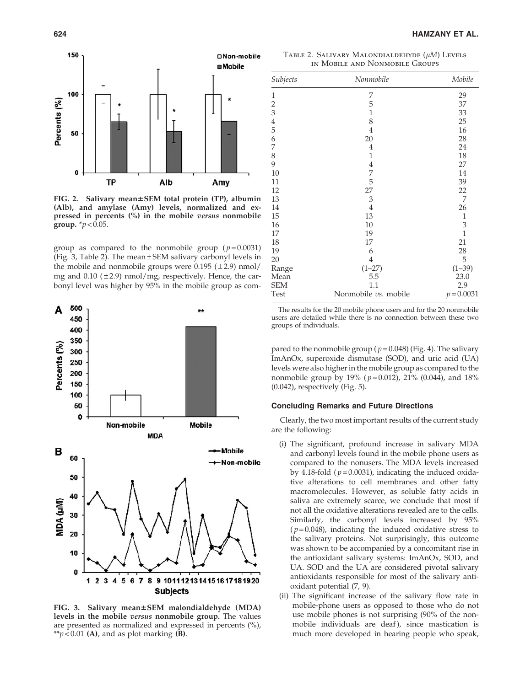

FIG. 2. Salivary mean±SEM total protein (TP), albumin (Alb), and amylase (Amy) levels, normalized and expressed in percents (%) in the mobile versus nonmobile group.  $*_{p} < 0.05$ .

group as compared to the nonmobile group ( $p = 0.0031$ ) (Fig. 3, Table 2). The mean  $\pm$  SEM salivary carbonyl levels in the mobile and nonmobile groups were  $0.195$  ( $\pm 2.9$ ) nmol/ mg and  $0.10$  ( $\pm 2.9$ ) nmol/mg, respectively. Hence, the carbonyl level was higher by 95% in the mobile group as com-



FIG. 3. Salivary mean±SEM malondialdehyde (MDA) levels in the mobile *versus* nonmobile group. The values are presented as normalized and expressed in percents (%), \*\* $p$  < 0.01 (A), and as plot marking (B).

TABLE 2. SALIVARY MALONDIALDEHYDE  $(\mu M)$  Levels in Mobile and Nonmobile Groups

| Subjects      | Nonmobile            | Mobile         |
|---------------|----------------------|----------------|
| 1             | 7                    | 29             |
|               | 5                    | 37             |
| $rac{2}{3}$   | $\mathbf{1}$         | 33             |
|               | 8                    | 25             |
| $\frac{4}{5}$ | 4                    | 16             |
| 6             | 20                   | 28             |
| 7             | $\overline{4}$       | 24             |
| 8             | $\mathbf{1}$         | 18             |
| 9             | $\overline{4}$       | 27             |
| 10            | 7                    | 14             |
| 11            | 5                    | 39             |
| 12            | 27                   | 22             |
| 13            | 3                    | 7              |
| 14            | $\overline{4}$       | 26             |
| 15            | 13                   | $\mathbf{1}$   |
| 16            | 10                   | 3              |
| 17            | 19                   | $\overline{1}$ |
| 18            | 17                   | 21             |
| 19            | 6                    | 28             |
| 20            | $\overline{4}$       | 5              |
| Range         | $(1-27)$             | $(1 - 39)$     |
| Mean          | 5.5                  | 23.0           |
| <b>SEM</b>    | 1.1                  | 2.9            |
| Test          | Nonmobile vs. mobile | $p = 0.0031$   |

The results for the 20 mobile phone users and for the 20 nonmobile users are detailed while there is no connection between these two groups of individuals.

pared to the nonmobile group ( $p = 0.048$ ) (Fig. 4). The salivary ImAnOx, superoxide dismutase (SOD), and uric acid (UA) levels were also higher in the mobile group as compared to the nonmobile group by 19% ( $p = 0.012$ ), 21% (0.044), and 18% (0.042), respectively (Fig. 5).

#### Concluding Remarks and Future Directions

Clearly, the two most important results of the current study are the following:

- (i) The significant, profound increase in salivary MDA and carbonyl levels found in the mobile phone users as compared to the nonusers. The MDA levels increased by 4.18-fold ( $p = 0.0031$ ), indicating the induced oxidative alterations to cell membranes and other fatty macromolecules. However, as soluble fatty acids in saliva are extremely scarce, we conclude that most if not all the oxidative alterations revealed are to the cells. Similarly, the carbonyl levels increased by 95%  $(p=0.048)$ , indicating the induced oxidative stress to the salivary proteins. Not surprisingly, this outcome was shown to be accompanied by a concomitant rise in the antioxidant salivary systems: ImAnOx, SOD, and UA. SOD and the UA are considered pivotal salivary antioxidants responsible for most of the salivary antioxidant potential (7, 9).
- (ii) The significant increase of the salivary flow rate in mobile-phone users as opposed to those who do not use mobile phones is not surprising (90% of the nonmobile individuals are deaf ), since mastication is much more developed in hearing people who speak,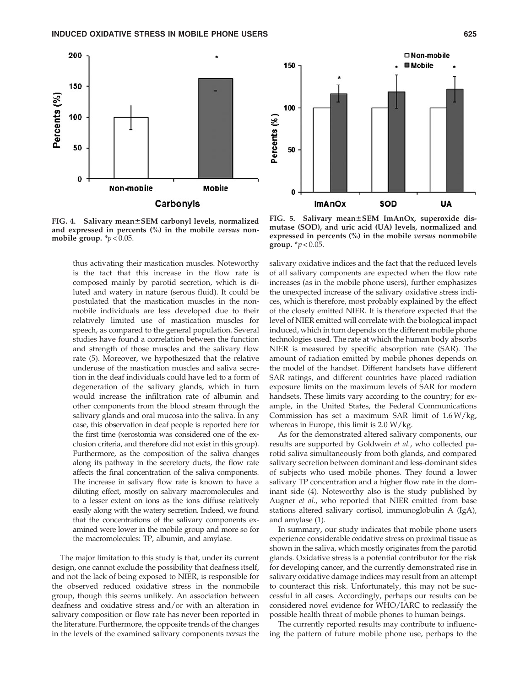



FIG. 4. Salivary mean±SEM carbonyl levels, normalized and expressed in percents (%) in the mobile versus nonmobile group.  $\gamma p < 0.05$ .

thus activating their mastication muscles. Noteworthy is the fact that this increase in the flow rate is composed mainly by parotid secretion, which is diluted and watery in nature (serous fluid). It could be postulated that the mastication muscles in the nonmobile individuals are less developed due to their relatively limited use of mastication muscles for speech, as compared to the general population. Several studies have found a correlation between the function and strength of those muscles and the salivary flow rate (5). Moreover, we hypothesized that the relative underuse of the mastication muscles and saliva secretion in the deaf individuals could have led to a form of degeneration of the salivary glands, which in turn would increase the infiltration rate of albumin and other components from the blood stream through the salivary glands and oral mucosa into the saliva. In any case, this observation in deaf people is reported here for the first time (xerostomia was considered one of the exclusion criteria, and therefore did not exist in this group). Furthermore, as the composition of the saliva changes along its pathway in the secretory ducts, the flow rate affects the final concentration of the saliva components. The increase in salivary flow rate is known to have a diluting effect, mostly on salivary macromolecules and to a lesser extent on ions as the ions diffuse relatively easily along with the watery secretion. Indeed, we found that the concentrations of the salivary components examined were lower in the mobile group and more so for the macromolecules: TP, albumin, and amylase.

The major limitation to this study is that, under its current design, one cannot exclude the possibility that deafness itself, and not the lack of being exposed to NIER, is responsible for the observed reduced oxidative stress in the nonmobile group, though this seems unlikely. An association between deafness and oxidative stress and/or with an alteration in salivary composition or flow rate has never been reported in the literature. Furthermore, the opposite trends of the changes in the levels of the examined salivary components versus the

FIG. 5. Salivary mean±SEM ImAnOx, superoxide dismutase (SOD), and uric acid (UA) levels, normalized and expressed in percents (%) in the mobile versus nonmobile group.  $\frac{*}{p} < 0.05$ .

salivary oxidative indices and the fact that the reduced levels of all salivary components are expected when the flow rate increases (as in the mobile phone users), further emphasizes the unexpected increase of the salivary oxidative stress indices, which is therefore, most probably explained by the effect of the closely emitted NIER. It is therefore expected that the level of NIER emitted will correlate with the biological impact induced, which in turn depends on the different mobile phone technologies used. The rate at which the human body absorbs NIER is measured by specific absorption rate (SAR). The amount of radiation emitted by mobile phones depends on the model of the handset. Different handsets have different SAR ratings, and different countries have placed radiation exposure limits on the maximum levels of SAR for modern handsets. These limits vary according to the country; for example, in the United States, the Federal Communications Commission has set a maximum SAR limit of 1.6 W/kg, whereas in Europe, this limit is 2.0 W/kg.

As for the demonstrated altered salivary components, our results are supported by Goldwein et al., who collected parotid saliva simultaneously from both glands, and compared salivary secretion between dominant and less-dominant sides of subjects who used mobile phones. They found a lower salivary TP concentration and a higher flow rate in the dominant side (4). Noteworthy also is the study published by Augner et al., who reported that NIER emitted from base stations altered salivary cortisol, immunoglobulin A (IgA), and amylase (1).

In summary, our study indicates that mobile phone users experience considerable oxidative stress on proximal tissue as shown in the saliva, which mostly originates from the parotid glands. Oxidative stress is a potential contributor for the risk for developing cancer, and the currently demonstrated rise in salivary oxidative damage indices may result from an attempt to counteract this risk. Unfortunately, this may not be successful in all cases. Accordingly, perhaps our results can be considered novel evidence for WHO/IARC to reclassify the possible health threat of mobile phones to human beings.

The currently reported results may contribute to influencing the pattern of future mobile phone use, perhaps to the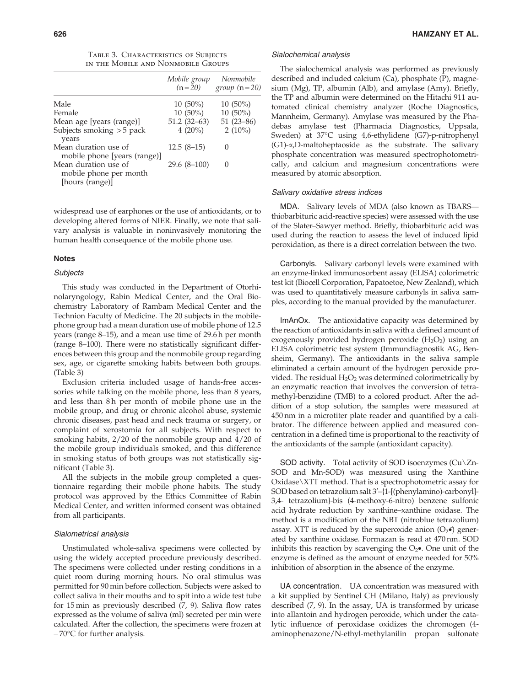|  | TABLE 3. CHARACTERISTICS OF SUBJECTS |
|--|--------------------------------------|
|  | in the Mobile and Nonmobile Groups   |

|                                                                   | Mobile group<br>$(n=20)$ | Nonmobile<br>group $(n=20)$ |
|-------------------------------------------------------------------|--------------------------|-----------------------------|
| Male                                                              | $10(50\%)$               | $10(50\%)$                  |
| Female                                                            | $10(50\%)$               | $10(50\%)$                  |
| Mean age [years (range)]                                          | $51.2(32-63)$            | $51(23-86)$                 |
| Subjects smoking > 5 pack<br>years                                | $4(20\%)$                | $2(10\%)$                   |
| Mean duration use of<br>mobile phone [years (range)]              | $12.5(8-15)$             |                             |
| Mean duration use of<br>mobile phone per month<br>[hours (range)] | $29.6(8-100)$            | $\left( \right)$            |

widespread use of earphones or the use of antioxidants, or to developing altered forms of NIER. Finally, we note that salivary analysis is valuable in noninvasively monitoring the human health consequence of the mobile phone use.

#### Notes

#### **Subjects**

This study was conducted in the Department of Otorhinolaryngology, Rabin Medical Center, and the Oral Biochemistry Laboratory of Rambam Medical Center and the Technion Faculty of Medicine. The 20 subjects in the mobilephone group had a mean duration use of mobile phone of 12.5 years (range 8–15), and a mean use time of 29.6 h per month (range 8–100). There were no statistically significant differences between this group and the nonmobile group regarding sex, age, or cigarette smoking habits between both groups. (Table 3)

Exclusion criteria included usage of hands-free accessories while talking on the mobile phone, less than 8 years, and less than 8h per month of mobile phone use in the mobile group, and drug or chronic alcohol abuse, systemic chronic diseases, past head and neck trauma or surgery, or complaint of xerostomia for all subjects. With respect to smoking habits, 2/20 of the nonmobile group and 4/20 of the mobile group individuals smoked, and this difference in smoking status of both groups was not statistically significant (Table 3).

All the subjects in the mobile group completed a questionnaire regarding their mobile phone habits. The study protocol was approved by the Ethics Committee of Rabin Medical Center, and written informed consent was obtained from all participants.

#### Sialometrical analysis

Unstimulated whole-saliva specimens were collected by using the widely accepted procedure previously described. The specimens were collected under resting conditions in a quiet room during morning hours. No oral stimulus was permitted for 90 min before collection. Subjects were asked to collect saliva in their mouths and to spit into a wide test tube for 15 min as previously described (7, 9). Saliva flow rates expressed as the volume of saliva (ml) secreted per min were calculated. After the collection, the specimens were frozen at  $-70^{\circ}$ C for further analysis.

#### Sialochemical analysis

The sialochemical analysis was performed as previously described and included calcium (Ca), phosphate (P), magnesium (Mg), TP, albumin (Alb), and amylase (Amy). Briefly, the TP and albumin were determined on the Hitachi 911 automated clinical chemistry analyzer (Roche Diagnostics, Mannheim, Germany). Amylase was measured by the Phadebas amylase test (Pharmacia Diagnostics, Uppsala, Sweden) at 37°C using 4,6-ethylidene (G7)-p-nitrophenyl  $(G1)$ - $\alpha$ ,D-maltoheptaoside as the substrate. The salivary phosphate concentration was measured spectrophotometrically, and calcium and magnesium concentrations were measured by atomic absorption.

### Salivary oxidative stress indices

MDA. Salivary levels of MDA (also known as TBARS thiobarbituric acid-reactive species) were assessed with the use of the Slater–Sawyer method. Briefly, thiobarbituric acid was used during the reaction to assess the level of induced lipid peroxidation, as there is a direct correlation between the two.

Carbonyls. Salivary carbonyl levels were examined with an enzyme-linked immunosorbent assay (ELISA) colorimetric test kit (Biocell Corporation, Papatoetoe, New Zealand), which was used to quantitatively measure carbonyls in saliva samples, according to the manual provided by the manufacturer.

ImAnOx. The antioxidative capacity was determined by the reaction of antioxidants in saliva with a defined amount of exogenously provided hydrogen peroxide  $(H_2O_2)$  using an ELISA colorimetric test system (Immundiagnostik AG, Bensheim, Germany). The antioxidants in the saliva sample eliminated a certain amount of the hydrogen peroxide provided. The residual  $H_2O_2$  was determined colorimetrically by an enzymatic reaction that involves the conversion of tetramethyl-benzidine (TMB) to a colored product. After the addition of a stop solution, the samples were measured at 450 nm in a microtiter plate reader and quantified by a calibrator. The difference between applied and measured concentration in a defined time is proportional to the reactivity of the antioxidants of the sample (antioxidant capacity).

SOD activity. Total activity of SOD isoenzymes  $(Cu)\Zn-$ SOD and Mn-SOD) was measured using the Xanthine Oxidase\XTT method. That is a spectrophotometric assay for SOD based on tetrazolium salt 3'-{1-[(phenylamino)-carbonyl]-3,4- tetrazolium}-bis (4-methoxy-6-nitro) benzene sulfonic acid hydrate reduction by xanthine–xanthine oxidase. The method is a modification of the NBT (nitroblue tetrazolium) assay. XTT is reduced by the superoxide anion  $(O_2 \bullet)$  generated by xanthine oxidase. Formazan is read at 470 nm. SOD inhibits this reaction by scavenging the  $O_2\bullet$ . One unit of the enzyme is defined as the amount of enzyme needed for 50% inhibition of absorption in the absence of the enzyme.

UA concentration. UA concentration was measured with a kit supplied by Sentinel CH (Milano, Italy) as previously described (7, 9). In the assay, UA is transformed by uricase into allantoin and hydrogen peroxide, which under the catalytic influence of peroxidase oxidizes the chromogen (4 aminophenazone/N-ethyl-methylanilin propan sulfonate